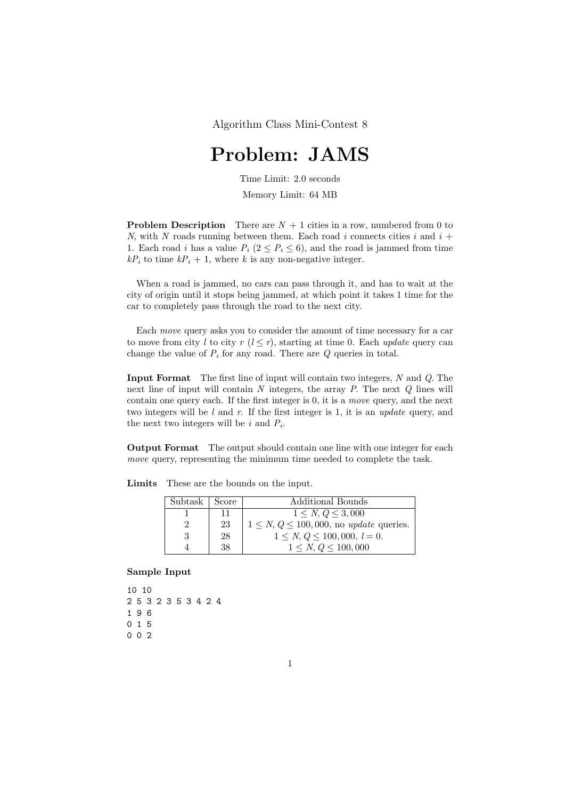## Problem: JAMS

Time Limit: 2.0 seconds

Memory Limit: 64 MB

**Problem Description** There are  $N + 1$  cities in a row, numbered from 0 to N, with N roads running between them. Each road i connects cities i and  $i +$ 1. Each road *i* has a value  $P_i$  ( $2 \leq P_i \leq 6$ ), and the road is jammed from time  $kP_i$  to time  $kP_i + 1$ , where k is any non-negative integer.

When a road is jammed, no cars can pass through it, and has to wait at the city of origin until it stops being jammed, at which point it takes 1 time for the car to completely pass through the road to the next city.

Each move query asks you to consider the amount of time necessary for a car to move from city l to city r  $(l \leq r)$ , starting at time 0. Each update query can change the value of  $P_i$  for any road. There are  $Q$  queries in total.

Input Format The first line of input will contain two integers, N and Q. The next line of input will contain  $N$  integers, the array  $P$ . The next  $Q$  lines will contain one query each. If the first integer is 0, it is a move query, and the next two integers will be l and r. If the first integer is 1, it is an update query, and the next two integers will be  $i$  and  $P_i$ .

Output Format The output should contain one line with one integer for each move query, representing the minimum time needed to complete the task.

| Subtask | Score | Additional Bounds                                       |
|---------|-------|---------------------------------------------------------|
|         | 11    | $1 \leq N, Q \leq 3,000$                                |
| 2       | 23    | $1 \leq N, Q \leq 100, 000$ , no <i>update</i> queries. |
| 3       | 28    | $1 \leq N, Q \leq 100, 000, l = 0.$                     |
|         | 38    | $1 \leq N, Q \leq 100,000$                              |

Limits These are the bounds on the input.

Sample Input

```
10 10
2 5 3 2 3 5 3 4 2 4
1 9 6
0 1 5
0 0 2
```